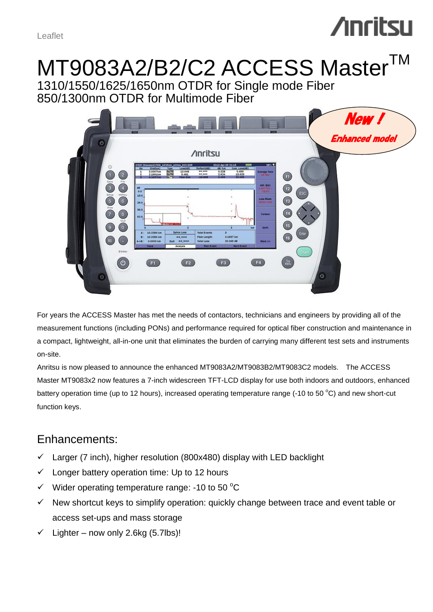Leaflet

## **/inritsu**

# MT9083A2/B2/C2 ACCESS Master<sup>™</sup>

1310/1550/1625/1650nm OTDR for Single mode Fiber 850/1300nm OTDR for Multimode Fiber



For years the ACCESS Master has met the needs of contactors, technicians and engineers by providing all of the measurement functions (including PONs) and performance required for optical fiber construction and maintenance in a compact, lightweight, all-in-one unit that eliminates the burden of carrying many different test sets and instruments on-site.

Anritsu is now pleased to announce the enhanced MT9083A2/MT9083B2/MT9083C2 models. The ACCESS Master MT9083x2 now features a 7-inch widescreen TFT-LCD display for use both indoors and outdoors, enhanced battery operation time (up to 12 hours), increased operating temperature range (-10 to 50  $^{\circ}$ C) and new short-cut function keys.

## Enhancements:

- $\checkmark$  Larger (7 inch), higher resolution (800x480) display with LED backlight
- $\checkmark$  Longer battery operation time: Up to 12 hours
- $\checkmark$  Wider operating temperature range: -10 to 50 °C
- $\checkmark$  New shortcut keys to simplify operation: quickly change between trace and event table or access set-ups and mass storage
- $\checkmark$  Lighter now only 2.6kg (5.7lbs)!